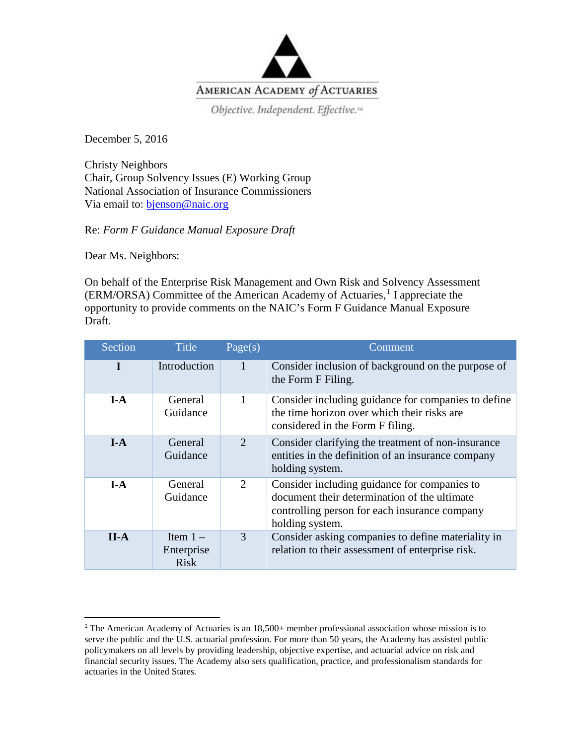

December 5, 2016

Christy Neighbors Chair, Group Solvency Issues (E) Working Group National Association of Insurance Commissioners Via email to: [bjenson@naic.org](mailto:bjenson@naic.org)

Re: *Form F Guidance Manual Exposure Draft*

Dear Ms. Neighbors:

On behalf of the Enterprise Risk Management and Own Risk and Solvency Assessment (ERM/ORSA) Committee of the American Academy of Actuaries, [1](#page-0-0) I appreciate the opportunity to provide comments on the NAIC's Form F Guidance Manual Exposure Draft.

| Section | <b>Title</b>                            | Page(s)                     | Comment                                                                                                                                                          |
|---------|-----------------------------------------|-----------------------------|------------------------------------------------------------------------------------------------------------------------------------------------------------------|
|         | Introduction                            |                             | Consider inclusion of background on the purpose of<br>the Form F Filing.                                                                                         |
| $I-A$   | General<br>Guidance                     | 1                           | Consider including guidance for companies to define<br>the time horizon over which their risks are<br>considered in the Form F filing.                           |
| $I-A$   | General<br>Guidance                     | $\mathcal{D}_{\mathcal{L}}$ | Consider clarifying the treatment of non-insurance<br>entities in the definition of an insurance company<br>holding system.                                      |
| $I-A$   | General<br>Guidance                     | 2                           | Consider including guidance for companies to<br>document their determination of the ultimate<br>controlling person for each insurance company<br>holding system. |
| $II-A$  | Item $1 -$<br>Enterprise<br><b>Risk</b> | 3                           | Consider asking companies to define materiality in<br>relation to their assessment of enterprise risk.                                                           |

<span id="page-0-0"></span> $1$ <sup>T</sup>he American Academy of Actuaries is an  $18,500+$  member professional association whose mission is to serve the public and the U.S. actuarial profession. For more than 50 years, the Academy has assisted public policymakers on all levels by providing leadership, objective expertise, and actuarial advice on risk and financial security issues. The Academy also sets qualification, practice, and professionalism standards for actuaries in the United States.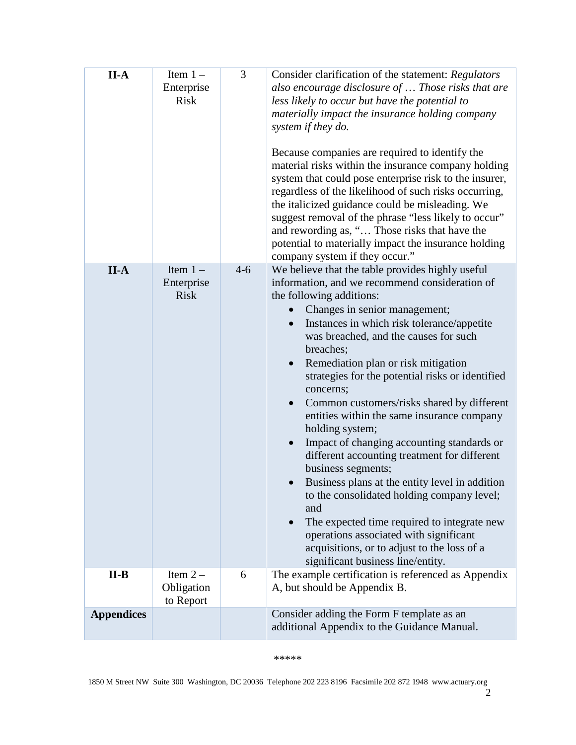| $II-A$            | Item $1 -$<br>Enterprise<br><b>Risk</b> | 3       | Consider clarification of the statement: Regulators<br>also encourage disclosure of  Those risks that are<br>less likely to occur but have the potential to<br>materially impact the insurance holding company<br>system if they do.<br>Because companies are required to identify the<br>material risks within the insurance company holding<br>system that could pose enterprise risk to the insurer,<br>regardless of the likelihood of such risks occurring,<br>the italicized guidance could be misleading. We<br>suggest removal of the phrase "less likely to occur"<br>and rewording as, " Those risks that have the<br>potential to materially impact the insurance holding<br>company system if they occur."                                                                                                                                                                                                       |
|-------------------|-----------------------------------------|---------|------------------------------------------------------------------------------------------------------------------------------------------------------------------------------------------------------------------------------------------------------------------------------------------------------------------------------------------------------------------------------------------------------------------------------------------------------------------------------------------------------------------------------------------------------------------------------------------------------------------------------------------------------------------------------------------------------------------------------------------------------------------------------------------------------------------------------------------------------------------------------------------------------------------------------|
| $II-A$            | Item $1 -$<br>Enterprise<br><b>Risk</b> | $4 - 6$ | We believe that the table provides highly useful<br>information, and we recommend consideration of<br>the following additions:<br>Changes in senior management;<br>Instances in which risk tolerance/appetite<br>$\bullet$<br>was breached, and the causes for such<br>breaches;<br>Remediation plan or risk mitigation<br>strategies for the potential risks or identified<br>concerns;<br>Common customers/risks shared by different<br>$\bullet$<br>entities within the same insurance company<br>holding system;<br>Impact of changing accounting standards or<br>different accounting treatment for different<br>business segments;<br>Business plans at the entity level in addition<br>to the consolidated holding company level;<br>and<br>The expected time required to integrate new<br>operations associated with significant<br>acquisitions, or to adjust to the loss of a<br>significant business line/entity. |
| $II-B$            | Item $2 -$<br>Obligation<br>to Report   | 6       | The example certification is referenced as Appendix<br>A, but should be Appendix B.                                                                                                                                                                                                                                                                                                                                                                                                                                                                                                                                                                                                                                                                                                                                                                                                                                          |
| <b>Appendices</b> |                                         |         | Consider adding the Form F template as an<br>additional Appendix to the Guidance Manual.                                                                                                                                                                                                                                                                                                                                                                                                                                                                                                                                                                                                                                                                                                                                                                                                                                     |

## \*\*\*\*\*